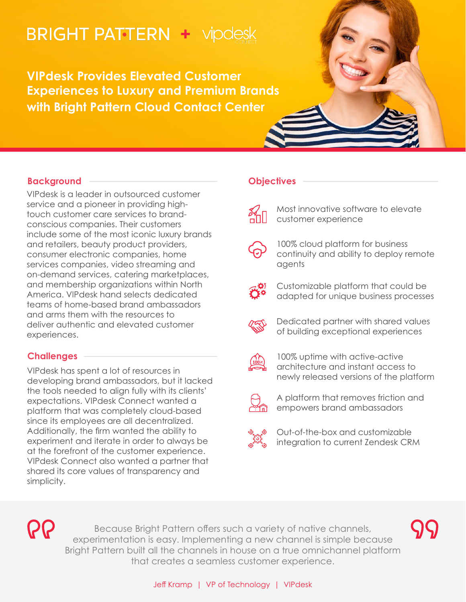# **BRIGHT PATTERN + vipdesk**

**VIPdesk Provides Elevated Customer Experiences to Luxury and Premium Brands with Bright Pattern Cloud Contact Center**

## **Background**

VIPdesk is a leader in outsourced customer service and a pioneer in providing hightouch customer care services to brandconscious companies. Their customers include some of the most iconic luxury brands and retailers, beauty product providers, consumer electronic companies, home services companies, video streaming and on-demand services, catering marketplaces, and membership organizations within North America. VIPdesk hand selects dedicated teams of home-based brand ambassadors and arms them with the resources to deliver authentic and elevated customer experiences.

# **Challenges**

VIPdesk has spent a lot of resources in developing brand ambassadors, but it lacked the tools needed to align fully with its clients' expectations. VIPdesk Connect wanted a platform that was completely cloud-based since its employees are all decentralized. Additionally, the firm wanted the ability to experiment and iterate in order to always be at the forefront of the customer experience. VIPdesk Connect also wanted a partner that shared its core values of transparency and simplicity.

## **Objectives**

- - Most innovative software to elevate customer experience
- 
- 100% cloud platform for business continuity and ability to deploy remote agents
- 
- Customizable platform that could be adapted for unique business processes
- 
- Dedicated partner with shared values of building exceptional experiences



100% uptime with active-active architecture and instant access to newly released versions of the platform



A platform that removes friction and empowers brand ambassadors



Out-of-the-box and customizable integration to current Zendesk CRM

**PP** 

Because Bright Pattern offers such a variety of native channels, experimentation is easy. Implementing a new channel is simple because Bright Pattern built all the channels in house on a true omnichannel platform that creates a seamless customer experience.